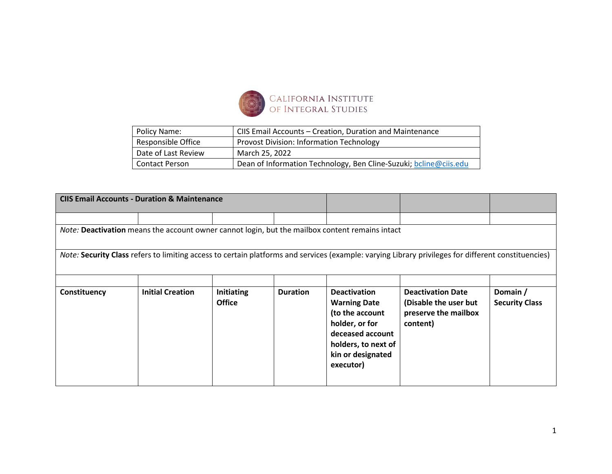

| Policy Name:          | CIIS Email Accounts - Creation, Duration and Maintenance          |
|-----------------------|-------------------------------------------------------------------|
| Responsible Office    | Provost Division: Information Technology                          |
| Date of Last Review   | March 25, 2022                                                    |
| <b>Contact Person</b> | Dean of Information Technology, Ben Cline-Suzuki; bcline@ciis.edu |
|                       |                                                                   |

| <b>CIIS Email Accounts - Duration &amp; Maintenance</b>                                         |                         |                                    |                 |                                                                                                                                                              |                                                                                                                                                     |                                   |  |  |
|-------------------------------------------------------------------------------------------------|-------------------------|------------------------------------|-----------------|--------------------------------------------------------------------------------------------------------------------------------------------------------------|-----------------------------------------------------------------------------------------------------------------------------------------------------|-----------------------------------|--|--|
|                                                                                                 |                         |                                    |                 |                                                                                                                                                              |                                                                                                                                                     |                                   |  |  |
| Note: Deactivation means the account owner cannot login, but the mailbox content remains intact |                         |                                    |                 |                                                                                                                                                              |                                                                                                                                                     |                                   |  |  |
|                                                                                                 |                         |                                    |                 |                                                                                                                                                              | Note: Security Class refers to limiting access to certain platforms and services (example: varying Library privileges for different constituencies) |                                   |  |  |
|                                                                                                 |                         |                                    |                 |                                                                                                                                                              |                                                                                                                                                     |                                   |  |  |
| Constituency                                                                                    | <b>Initial Creation</b> | <b>Initiating</b><br><b>Office</b> | <b>Duration</b> | <b>Deactivation</b><br><b>Warning Date</b><br>(to the account<br>holder, or for<br>deceased account<br>holders, to next of<br>kin or designated<br>executor) | <b>Deactivation Date</b><br>(Disable the user but<br>preserve the mailbox<br>content)                                                               | Domain /<br><b>Security Class</b> |  |  |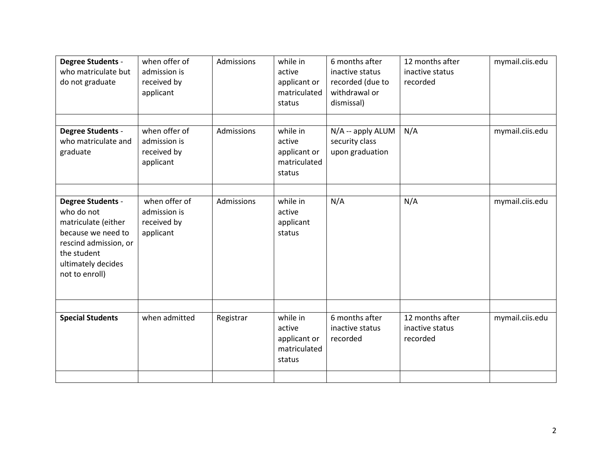| <b>Degree Students -</b><br>who matriculate but<br>do not graduate                                                                                                  | when offer of<br>admission is<br>received by<br>applicant | Admissions | while in<br>active<br>applicant or<br>matriculated<br>status | 6 months after<br>inactive status<br>recorded (due to<br>withdrawal or<br>dismissal) | 12 months after<br>inactive status<br>recorded | mymail.ciis.edu |
|---------------------------------------------------------------------------------------------------------------------------------------------------------------------|-----------------------------------------------------------|------------|--------------------------------------------------------------|--------------------------------------------------------------------------------------|------------------------------------------------|-----------------|
| <b>Degree Students -</b><br>who matriculate and<br>graduate                                                                                                         | when offer of<br>admission is<br>received by<br>applicant | Admissions | while in<br>active<br>applicant or<br>matriculated<br>status | N/A -- apply ALUM<br>security class<br>upon graduation                               | N/A                                            | mymail.ciis.edu |
| <b>Degree Students -</b><br>who do not<br>matriculate (either<br>because we need to<br>rescind admission, or<br>the student<br>ultimately decides<br>not to enroll) | when offer of<br>admission is<br>received by<br>applicant | Admissions | while in<br>active<br>applicant<br>status                    | N/A                                                                                  | N/A                                            | mymail.ciis.edu |
| <b>Special Students</b>                                                                                                                                             | when admitted                                             | Registrar  | while in<br>active<br>applicant or<br>matriculated<br>status | 6 months after<br>inactive status<br>recorded                                        | 12 months after<br>inactive status<br>recorded | mymail.ciis.edu |
|                                                                                                                                                                     |                                                           |            |                                                              |                                                                                      |                                                |                 |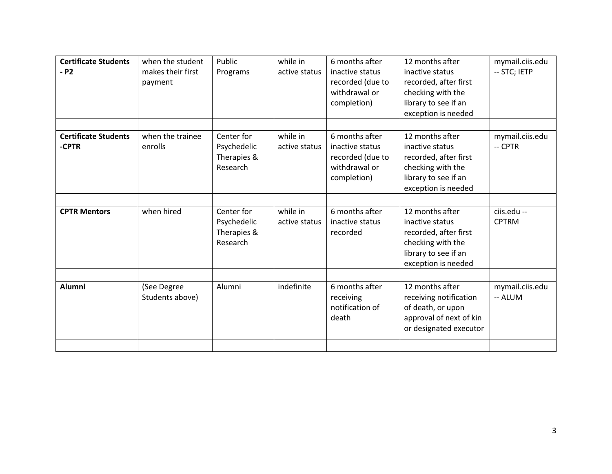| <b>Certificate Students</b><br>- P2  | when the student<br>makes their first<br>payment | Public<br>Programs                                   | while in<br>active status | 6 months after<br>inactive status<br>recorded (due to<br>withdrawal or<br>completion) | 12 months after<br>inactive status<br>recorded, after first<br>checking with the<br>library to see if an<br>exception is needed | mymail.ciis.edu<br>-- STC; IETP |
|--------------------------------------|--------------------------------------------------|------------------------------------------------------|---------------------------|---------------------------------------------------------------------------------------|---------------------------------------------------------------------------------------------------------------------------------|---------------------------------|
| <b>Certificate Students</b><br>-CPTR | when the trainee<br>enrolls                      | Center for<br>Psychedelic<br>Therapies &<br>Research | while in<br>active status | 6 months after<br>inactive status<br>recorded (due to<br>withdrawal or<br>completion) | 12 months after<br>inactive status<br>recorded, after first<br>checking with the<br>library to see if an<br>exception is needed | mymail.ciis.edu<br>-- CPTR      |
| <b>CPTR Mentors</b>                  | when hired                                       | Center for<br>Psychedelic<br>Therapies &<br>Research | while in<br>active status | 6 months after<br>inactive status<br>recorded                                         | 12 months after<br>inactive status<br>recorded, after first<br>checking with the<br>library to see if an<br>exception is needed | ciis.edu --<br><b>CPTRM</b>     |
| <b>Alumni</b>                        | (See Degree<br>Students above)                   | Alumni                                               | indefinite                | 6 months after<br>receiving<br>notification of<br>death                               | 12 months after<br>receiving notification<br>of death, or upon<br>approval of next of kin<br>or designated executor             | mymail.ciis.edu<br>-- ALUM      |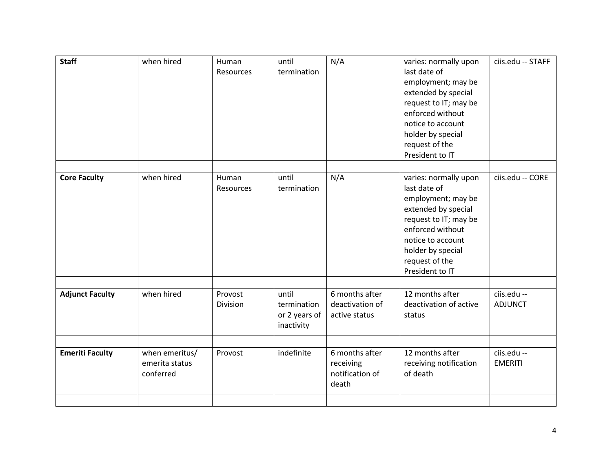| <b>Staff</b>           | when hired                                    | Human<br>Resources  | until<br>termination                                | N/A                                                     | varies: normally upon<br>last date of<br>employment; may be<br>extended by special<br>request to IT; may be<br>enforced without<br>notice to account<br>holder by special<br>request of the<br>President to IT | ciis.edu -- STAFF             |
|------------------------|-----------------------------------------------|---------------------|-----------------------------------------------------|---------------------------------------------------------|----------------------------------------------------------------------------------------------------------------------------------------------------------------------------------------------------------------|-------------------------------|
| <b>Core Faculty</b>    | when hired                                    | Human<br>Resources  | until<br>termination                                | N/A                                                     | varies: normally upon<br>last date of<br>employment; may be<br>extended by special<br>request to IT; may be<br>enforced without<br>notice to account<br>holder by special<br>request of the<br>President to IT | ciis.edu -- CORE              |
| <b>Adjunct Faculty</b> | when hired                                    | Provost<br>Division | until<br>termination<br>or 2 years of<br>inactivity | 6 months after<br>deactivation of<br>active status      | 12 months after<br>deactivation of active<br>status                                                                                                                                                            | ciis.edu --<br><b>ADJUNCT</b> |
| <b>Emeriti Faculty</b> | when emeritus/<br>emerita status<br>conferred | Provost             | indefinite                                          | 6 months after<br>receiving<br>notification of<br>death | 12 months after<br>receiving notification<br>of death                                                                                                                                                          | ciis.edu --<br><b>EMERITI</b> |
|                        |                                               |                     |                                                     |                                                         |                                                                                                                                                                                                                |                               |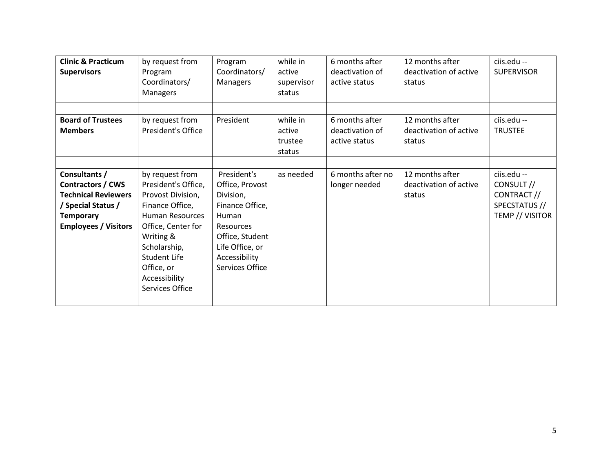| <b>Clinic &amp; Practicum</b> | by request from     | Program          | while in   | 6 months after    | 12 months after        | ciis.edu --       |
|-------------------------------|---------------------|------------------|------------|-------------------|------------------------|-------------------|
| <b>Supervisors</b>            | Program             | Coordinators/    | active     | deactivation of   | deactivation of active | <b>SUPERVISOR</b> |
|                               | Coordinators/       | <b>Managers</b>  | supervisor | active status     | status                 |                   |
|                               | Managers            |                  | status     |                   |                        |                   |
|                               |                     |                  |            |                   |                        |                   |
| <b>Board of Trustees</b>      | by request from     | President        | while in   | 6 months after    | 12 months after        | ciis.edu --       |
| <b>Members</b>                | President's Office  |                  | active     | deactivation of   | deactivation of active | <b>TRUSTEE</b>    |
|                               |                     |                  | trustee    | active status     | status                 |                   |
|                               |                     |                  | status     |                   |                        |                   |
|                               |                     |                  |            |                   |                        |                   |
| Consultants /                 | by request from     | President's      | as needed  | 6 months after no | 12 months after        | ciis.edu --       |
| Contractors / CWS             | President's Office, | Office, Provost  |            | longer needed     | deactivation of active | CONSULT //        |
| <b>Technical Reviewers</b>    | Provost Division,   | Division,        |            |                   | status                 | CONTRACT //       |
| / Special Status /            | Finance Office,     | Finance Office,  |            |                   |                        | SPECSTATUS //     |
| <b>Temporary</b>              | Human Resources     | <b>Human</b>     |            |                   |                        | TEMP // VISITOR   |
| <b>Employees / Visitors</b>   | Office, Center for  | <b>Resources</b> |            |                   |                        |                   |
|                               | Writing &           | Office, Student  |            |                   |                        |                   |
|                               | Scholarship,        | Life Office, or  |            |                   |                        |                   |
|                               | Student Life        | Accessibility    |            |                   |                        |                   |
|                               | Office, or          | Services Office  |            |                   |                        |                   |
|                               | Accessibility       |                  |            |                   |                        |                   |
|                               | Services Office     |                  |            |                   |                        |                   |
|                               |                     |                  |            |                   |                        |                   |